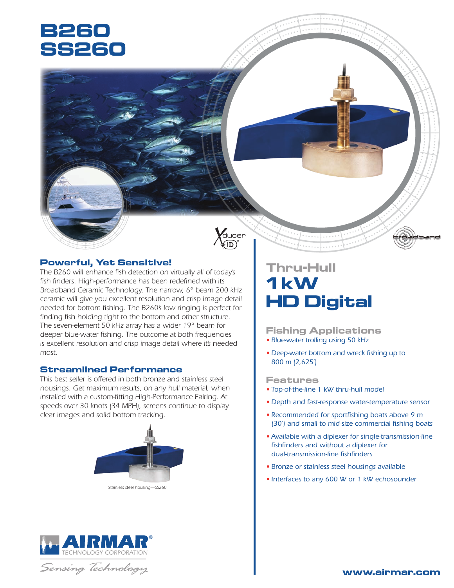# **B260 SS260**



### **Powerful, Yet Sensitive!**

*The B260 will enhance fish detection on virtually all of today's fish finders. High-performance has been redefined with its Broadband Ceramic Technology. The narrow, 6° beam 200 kHz ceramic will give you excellent resolution and crisp image detail needed for bottom fishing. The B260's low ringing is perfect for finding fish holding tight to the bottom and other structure. The seven-element 50 kHz array has a wider 19° beam for deeper blue-water fishing. The outcome at both frequencies is excellent resolution and crisp image detail where it's needed most.*

### **Streamlined Performance**

*This best seller is offered in both bronze and stainless steel housings. Get maximum results, on any hull material, when installed with a custom-fitting High-Performance Fairing. At speeds over 30 knots (34 MPH), screens continue to display clear images and solid bottom tracking.*



*Stainless steel housing—SS260*



Sensing Technology

# **Thru-Hull 1 kW HD Digital**

**Fishing Applications** • *Blue-water trolling using 50 kHz*

• *Deep-water bottom and wreck fishing up to 800 m (2,625')*

### **Features**

- *Top-of-the-line 1 kW thru-hull model*
- *Depth and fast-response water-temperature sensor*
- *Recommended for sportfishing boats above 9 m (30') and small to mid-size commercial fishing boats*
- •*Available with a diplexer for single-transmission-line fishfinders and without a diplexer for dual-transmission-line fishfinders*
- *Bronze or stainless steel housings available*
- *Interfaces to any 600 W or 1 kW echosounder*



dband